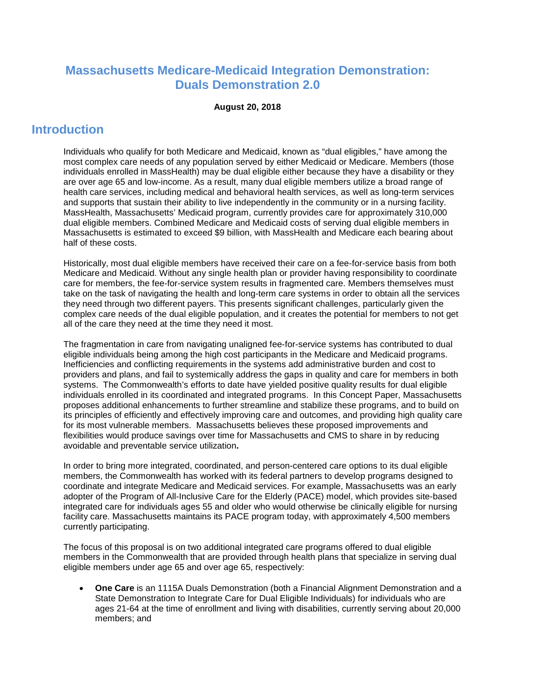# **Massachusetts Medicare-Medicaid Integration Demonstration: Duals Demonstration 2.0**

#### **August 20, 2018**

# **Introduction**

Individuals who qualify for both Medicare and Medicaid, known as "dual eligibles," have among the most complex care needs of any population served by either Medicaid or Medicare. Members (those individuals enrolled in MassHealth) may be dual eligible either because they have a disability or they are over age 65 and low-income. As a result, many dual eligible members utilize a broad range of health care services, including medical and behavioral health services, as well as long-term services and supports that sustain their ability to live independently in the community or in a nursing facility. MassHealth, Massachusetts' Medicaid program, currently provides care for approximately 310,000 dual eligible members. Combined Medicare and Medicaid costs of serving dual eligible members in Massachusetts is estimated to exceed \$9 billion, with MassHealth and Medicare each bearing about half of these costs.

Historically, most dual eligible members have received their care on a fee-for-service basis from both Medicare and Medicaid. Without any single health plan or provider having responsibility to coordinate care for members, the fee-for-service system results in fragmented care. Members themselves must take on the task of navigating the health and long-term care systems in order to obtain all the services they need through two different payers. This presents significant challenges, particularly given the complex care needs of the dual eligible population, and it creates the potential for members to not get all of the care they need at the time they need it most.

The fragmentation in care from navigating unaligned fee-for-service systems has contributed to dual eligible individuals being among the high cost participants in the Medicare and Medicaid programs. Inefficiencies and conflicting requirements in the systems add administrative burden and cost to providers and plans, and fail to systemically address the gaps in quality and care for members in both systems. The Commonwealth's efforts to date have yielded positive quality results for dual eligible individuals enrolled in its coordinated and integrated programs. In this Concept Paper, Massachusetts proposes additional enhancements to further streamline and stabilize these programs, and to build on its principles of efficiently and effectively improving care and outcomes, and providing high quality care for its most vulnerable members. Massachusetts believes these proposed improvements and flexibilities would produce savings over time for Massachusetts and CMS to share in by reducing avoidable and preventable service utilization**.**

In order to bring more integrated, coordinated, and person-centered care options to its dual eligible members, the Commonwealth has worked with its federal partners to develop programs designed to coordinate and integrate Medicare and Medicaid services. For example, Massachusetts was an early adopter of the Program of All-Inclusive Care for the Elderly (PACE) model, which provides site-based integrated care for individuals ages 55 and older who would otherwise be clinically eligible for nursing facility care. Massachusetts maintains its PACE program today, with approximately 4,500 members currently participating.

The focus of this proposal is on two additional integrated care programs offered to dual eligible members in the Commonwealth that are provided through health plans that specialize in serving dual eligible members under age 65 and over age 65, respectively:

• **One Care** is an 1115A Duals Demonstration (both a Financial Alignment Demonstration and a State Demonstration to Integrate Care for Dual Eligible Individuals) for individuals who are ages 21-64 at the time of enrollment and living with disabilities, currently serving about 20,000 members; and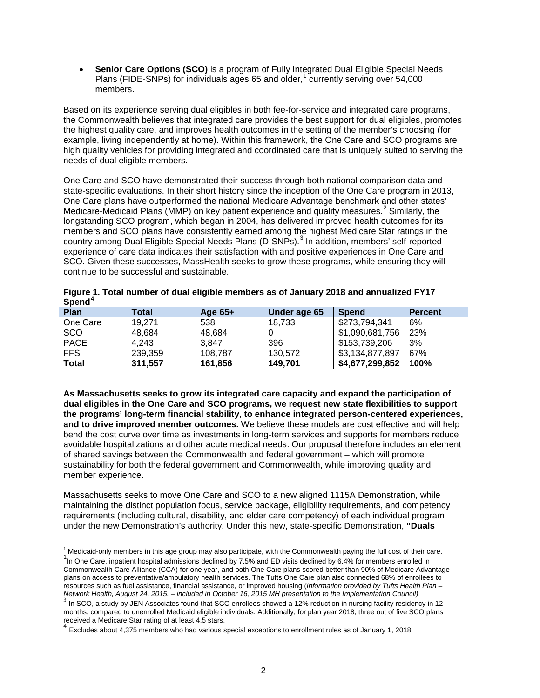• **Senior Care Options (SCO)** is a program of Fully Integrated Dual Eligible Special Needs Plans (FIDE-SNPs) for individuals ages 65 and older, [1](#page-1-0) currently serving over 54,000 members.

Based on its experience serving dual eligibles in both fee-for-service and integrated care programs, the Commonwealth believes that integrated care provides the best support for dual eligibles, promotes the highest quality care, and improves health outcomes in the setting of the member's choosing (for example, living independently at home). Within this framework, the One Care and SCO programs are high quality vehicles for providing integrated and coordinated care that is uniquely suited to serving the needs of dual eligible members.

One Care and SCO have demonstrated their success through both national comparison data and state-specific evaluations. In their short history since the inception of the One Care program in 2013, One Care plans have outperformed the national Medicare Advantage benchmark and other states' Medicare-Medicaid Plans (MMP) on key patient experience and quality measures.<sup>[2](#page-1-1)</sup> Similarly, the longstanding SCO program, which began in 2004, has delivered improved health outcomes for its members and SCO plans have consistently earned among the highest Medicare Star ratings in the country among Dual Eligible Special Needs Plans (D-SNPs).<sup>[3](#page-1-2)</sup> In addition, members' self-reported experience of care data indicates their satisfaction with and positive experiences in One Care and SCO. Given these successes, MassHealth seeks to grow these programs, while ensuring they will continue to be successful and sustainable.

| <b>PPP</b>   |         |           |              |                 |                |
|--------------|---------|-----------|--------------|-----------------|----------------|
| <b>Plan</b>  | Total   | Age $65+$ | Under age 65 | <b>Spend</b>    | <b>Percent</b> |
| One Care     | 19.271  | 538       | 18.733       | \$273,794,341   | 6%             |
| <b>SCO</b>   | 48.684  | 48.684    |              | \$1,090,681,756 | 23%            |
| <b>PACE</b>  | 4.243   | 3.847     | 396          | \$153,739,206   | 3%             |
| FFS.         | 239.359 | 108.787   | 130,572      | \$3,134,877,897 | 67%            |
| <b>Total</b> | 311,557 | 161,856   | 149.701      | \$4,677,299,852 | 100%           |

| Spend <sup>4</sup> |
|--------------------|
|--------------------|

**As Massachusetts seeks to grow its integrated care capacity and expand the participation of dual eligibles in the One Care and SCO programs, we request new state flexibilities to support the programs' long-term financial stability, to enhance integrated person-centered experiences, and to drive improved member outcomes.** We believe these models are cost effective and will help bend the cost curve over time as investments in long-term services and supports for members reduce avoidable hospitalizations and other acute medical needs. Our proposal therefore includes an element of shared savings between the Commonwealth and federal government – which will promote sustainability for both the federal government and Commonwealth, while improving quality and member experience.

Massachusetts seeks to move One Care and SCO to a new aligned 1115A Demonstration, while maintaining the distinct population focus, service package, eligibility requirements, and competency requirements (including cultural, disability, and elder care competency) of each individual program under the new Demonstration's authority. Under this new, state-specific Demonstration, **"Duals** 

<span id="page-1-0"></span> $<sup>1</sup>$  Medicaid-only members in this age group may also participate, with the Commonwealth paying the full cost of their care.</sup>

<span id="page-1-1"></span> $1$ In One Care, inpatient hospital admissions declined by 7.5% and ED visits declined by 6.4% for members enrolled in Commonwealth Care Alliance (CCA) for one year, and both One Care plans scored better than 90% of Medicare Advantage plans on access to preventative/ambulatory health services. The Tufts One Care plan also connected 68% of enrollees to resources such as fuel assistance, financial assistance, or improved housing (*Information provided by Tufts Health Plan –*

<span id="page-1-2"></span> $3$  In SCO, a study by JEN Associates found that SCO enrollees showed a 12% reduction in nursing facility residency in 12 months, compared to unenrolled Medicaid eligible individuals. Additionally, for plan year 2018, three out of five SCO plans received a Medicare Star rating of at least 4.5 stars.

<span id="page-1-3"></span><sup>4</sup> Excludes about 4,375 members who had various special exceptions to enrollment rules as of January 1, 2018.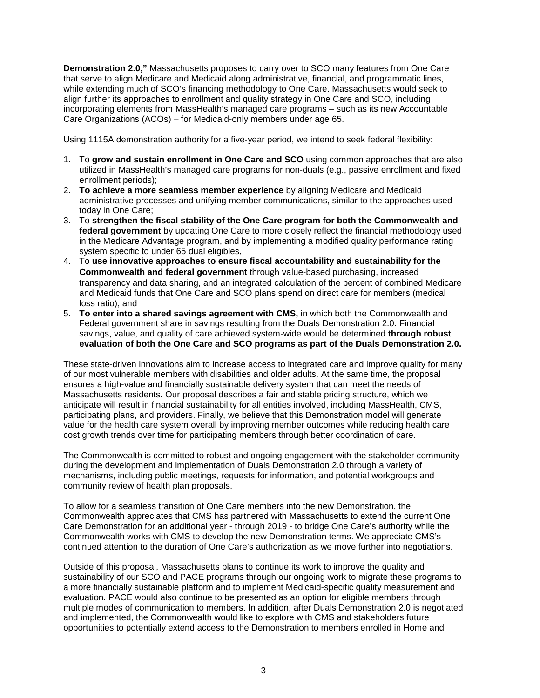**Demonstration 2.0,"** Massachusetts proposes to carry over to SCO many features from One Care that serve to align Medicare and Medicaid along administrative, financial, and programmatic lines, while extending much of SCO's financing methodology to One Care. Massachusetts would seek to align further its approaches to enrollment and quality strategy in One Care and SCO, including incorporating elements from MassHealth's managed care programs – such as its new Accountable Care Organizations (ACOs) – for Medicaid-only members under age 65.

Using 1115A demonstration authority for a five-year period, we intend to seek federal flexibility:

- 1. To **grow and sustain enrollment in One Care and SCO** using common approaches that are also utilized in MassHealth's managed care programs for non-duals (e.g., passive enrollment and fixed enrollment periods);
- 2. **To achieve a more seamless member experience** by aligning Medicare and Medicaid administrative processes and unifying member communications, similar to the approaches used today in One Care;
- 3. To **strengthen the fiscal stability of the One Care program for both the Commonwealth and federal government** by updating One Care to more closely reflect the financial methodology used in the Medicare Advantage program, and by implementing a modified quality performance rating system specific to under 65 dual eligibles,
- 4. To **use innovative approaches to ensure fiscal accountability and sustainability for the Commonwealth and federal government** through value-based purchasing, increased transparency and data sharing, and an integrated calculation of the percent of combined Medicare and Medicaid funds that One Care and SCO plans spend on direct care for members (medical loss ratio); and
- 5. **To enter into a shared savings agreement with CMS,** in which both the Commonwealth and Federal government share in savings resulting from the Duals Demonstration 2.0**.** Financial savings, value, and quality of care achieved system-wide would be determined **through robust evaluation of both the One Care and SCO programs as part of the Duals Demonstration 2.0.**

These state-driven innovations aim to increase access to integrated care and improve quality for many of our most vulnerable members with disabilities and older adults. At the same time, the proposal ensures a high-value and financially sustainable delivery system that can meet the needs of Massachusetts residents. Our proposal describes a fair and stable pricing structure, which we anticipate will result in financial sustainability for all entities involved, including MassHealth, CMS, participating plans, and providers. Finally, we believe that this Demonstration model will generate value for the health care system overall by improving member outcomes while reducing health care cost growth trends over time for participating members through better coordination of care.

The Commonwealth is committed to robust and ongoing engagement with the stakeholder community during the development and implementation of Duals Demonstration 2.0 through a variety of mechanisms, including public meetings, requests for information, and potential workgroups and community review of health plan proposals.

To allow for a seamless transition of One Care members into the new Demonstration, the Commonwealth appreciates that CMS has partnered with Massachusetts to extend the current One Care Demonstration for an additional year - through 2019 - to bridge One Care's authority while the Commonwealth works with CMS to develop the new Demonstration terms. We appreciate CMS's continued attention to the duration of One Care's authorization as we move further into negotiations.

Outside of this proposal, Massachusetts plans to continue its work to improve the quality and sustainability of our SCO and PACE programs through our ongoing work to migrate these programs to a more financially sustainable platform and to implement Medicaid-specific quality measurement and evaluation. PACE would also continue to be presented as an option for eligible members through multiple modes of communication to members. In addition, after Duals Demonstration 2.0 is negotiated and implemented, the Commonwealth would like to explore with CMS and stakeholders future opportunities to potentially extend access to the Demonstration to members enrolled in Home and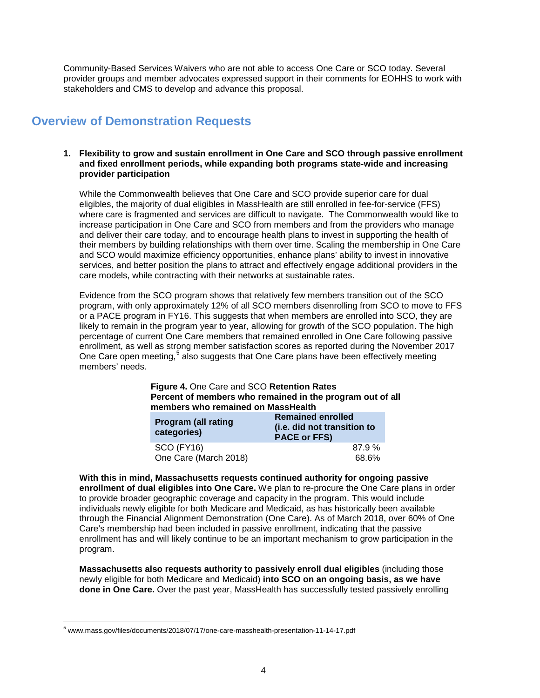Community-Based Services Waivers who are not able to access One Care or SCO today. Several provider groups and member advocates expressed support in their comments for EOHHS to work with stakeholders and CMS to develop and advance this proposal.

# **Overview of Demonstration Requests**

#### **1. Flexibility to grow and sustain enrollment in One Care and SCO through passive enrollment and fixed enrollment periods, while expanding both programs state-wide and increasing provider participation**

While the Commonwealth believes that One Care and SCO provide superior care for dual eligibles, the majority of dual eligibles in MassHealth are still enrolled in fee-for-service (FFS) where care is fragmented and services are difficult to navigate. The Commonwealth would like to increase participation in One Care and SCO from members and from the providers who manage and deliver their care today, and to encourage health plans to invest in supporting the health of their members by building relationships with them over time. Scaling the membership in One Care and SCO would maximize efficiency opportunities, enhance plans' ability to invest in innovative services, and better position the plans to attract and effectively engage additional providers in the care models, while contracting with their networks at sustainable rates.

Evidence from the SCO program shows that relatively few members transition out of the SCO program, with only approximately 12% of all SCO members disenrolling from SCO to move to FFS or a PACE program in FY16. This suggests that when members are enrolled into SCO, they are likely to remain in the program year to year, allowing for growth of the SCO population. The high percentage of current One Care members that remained enrolled in One Care following passive enrollment, as well as strong member satisfaction scores as reported during the November 2017 One Care open meeting,<sup>[5](#page-3-0)</sup> also suggests that One Care plans have been effectively meeting members' needs.

#### **Figure 4.** One Care and SCO **Retention Rates Percent of members who remained in the program out of all members who remained on MassHealth**

| <b>Program (all rating</b><br>categories) | <b>Remained enrolled</b><br>(i.e. did not transition to<br><b>PACE or FFS)</b> |  |  |
|-------------------------------------------|--------------------------------------------------------------------------------|--|--|
| <b>SCO (FY16)</b>                         | 87.9%                                                                          |  |  |
| One Care (March 2018)                     | 68.6%                                                                          |  |  |

**With this in mind, Massachusetts requests continued authority for ongoing passive enrollment of dual eligibles into One Care.** We plan to re-procure the One Care plans in order to provide broader geographic coverage and capacity in the program. This would include individuals newly eligible for both Medicare and Medicaid, as has historically been available through the Financial Alignment Demonstration (One Care). As of March 2018, over 60% of One Care's membership had been included in passive enrollment, indicating that the passive enrollment has and will likely continue to be an important mechanism to grow participation in the program.

**Massachusetts also requests authority to passively enroll dual eligibles** (including those newly eligible for both Medicare and Medicaid) **into SCO on an ongoing basis, as we have done in One Care.** Over the past year, MassHealth has successfully tested passively enrolling

<span id="page-3-0"></span> <sup>5</sup> www.mass.gov/files/documents/2018/07/17/one-care-masshealth-presentation-11-14-17.pdf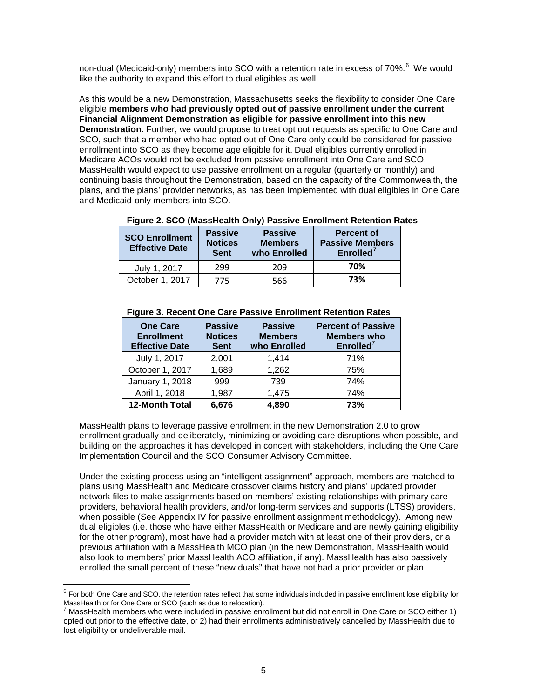non-dual (Medicaid-only) members into SCO with a retention rate in excess of 70%.<sup>[6](#page-4-0)</sup> We would like the authority to expand this effort to dual eligibles as well.

As this would be a new Demonstration, Massachusetts seeks the flexibility to consider One Care eligible **members who had previously opted out of passive enrollment under the current Financial Alignment Demonstration as eligible for passive enrollment into this new Demonstration.** Further, we would propose to treat opt out requests as specific to One Care and SCO, such that a member who had opted out of One Care only could be considered for passive enrollment into SCO as they become age eligible for it. Dual eligibles currently enrolled in Medicare ACOs would not be excluded from passive enrollment into One Care and SCO. MassHealth would expect to use passive enrollment on a regular (quarterly or monthly) and continuing basis throughout the Demonstration, based on the capacity of the Commonwealth, the plans, and the plans' provider networks, as has been implemented with dual eligibles in One Care and Medicaid-only members into SCO.

| Figure 2. SCO (MassHealth Only) Passive Enrollment Retention Rates |  |  |  |
|--------------------------------------------------------------------|--|--|--|
|                                                                    |  |  |  |

| <b>SCO Enrollment</b><br><b>Effective Date</b> | <b>Passive</b><br><b>Notices</b><br><b>Sent</b> | <b>Passive</b><br><b>Members</b><br>who Enrolled | <b>Percent of</b><br><b>Passive Members</b><br>Enrolled <sup>7</sup> |
|------------------------------------------------|-------------------------------------------------|--------------------------------------------------|----------------------------------------------------------------------|
| July 1, 2017                                   | 299                                             | 209                                              | 70%                                                                  |
| October 1, 2017                                | 775                                             | 566                                              | 73%                                                                  |

| <b>One Care</b><br><b>Enrollment</b><br><b>Effective Date</b> | <b>Passive</b><br><b>Notices</b><br><b>Sent</b> | <b>Passive</b><br><b>Members</b><br>who Enrolled | <b>Percent of Passive</b><br><b>Members who</b><br>Enrolled <sup>7</sup> |
|---------------------------------------------------------------|-------------------------------------------------|--------------------------------------------------|--------------------------------------------------------------------------|
| July 1, 2017                                                  | 2,001                                           | 1,414                                            | 71%                                                                      |
| October 1, 2017                                               | 1,689                                           | 1,262                                            | 75%                                                                      |
| January 1, 2018                                               | 999                                             | 739                                              | 74%                                                                      |
| April 1, 2018                                                 | 1,987                                           | 1,475                                            | 74%                                                                      |
| 12-Month Total                                                | 6,676                                           | 4,890                                            | 73%                                                                      |

#### **Figure 3. Recent One Care Passive Enrollment Retention Rates**

MassHealth plans to leverage passive enrollment in the new Demonstration 2.0 to grow enrollment gradually and deliberately, minimizing or avoiding care disruptions when possible, and building on the approaches it has developed in concert with stakeholders, including the One Care Implementation Council and the SCO Consumer Advisory Committee.

Under the existing process using an "intelligent assignment" approach, members are matched to plans using MassHealth and Medicare crossover claims history and plans' updated provider network files to make assignments based on members' existing relationships with primary care providers, behavioral health providers, and/or long-term services and supports (LTSS) providers, when possible (See Appendix IV for passive enrollment assignment methodology). Among new dual eligibles (i.e. those who have either MassHealth or Medicare and are newly gaining eligibility for the other program), most have had a provider match with at least one of their providers, or a previous affiliation with a MassHealth MCO plan (in the new Demonstration, MassHealth would also look to members' prior MassHealth ACO affiliation, if any). MassHealth has also passively enrolled the small percent of these "new duals" that have not had a prior provider or plan

<span id="page-4-0"></span> $^6$  For both One Care and SCO, the retention rates reflect that some individuals included in passive enrollment lose eligibility for<br>MassHealth or for One Care or SCO (such as due to relocation).

<span id="page-4-1"></span>MassHealth members who were included in passive enrollment but did not enroll in One Care or SCO either 1) opted out prior to the effective date, or 2) had their enrollments administratively cancelled by MassHealth due to lost eligibility or undeliverable mail.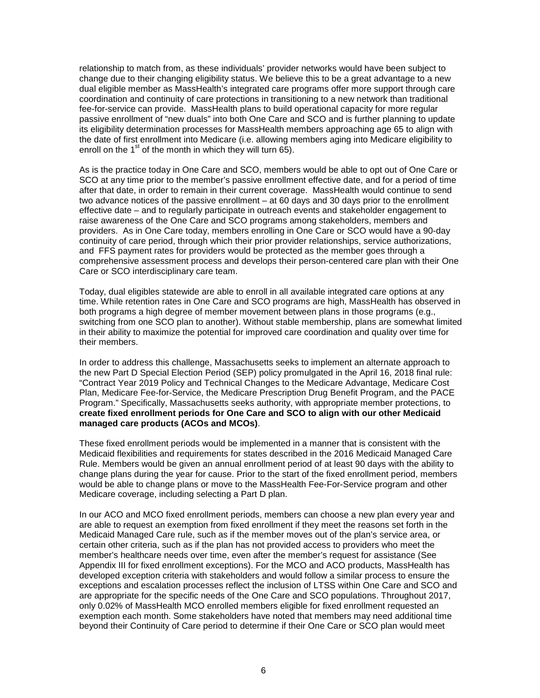relationship to match from, as these individuals' provider networks would have been subject to change due to their changing eligibility status. We believe this to be a great advantage to a new dual eligible member as MassHealth's integrated care programs offer more support through care coordination and continuity of care protections in transitioning to a new network than traditional fee-for-service can provide. MassHealth plans to build operational capacity for more regular passive enrollment of "new duals" into both One Care and SCO and is further planning to update its eligibility determination processes for MassHealth members approaching age 65 to align with the date of first enrollment into Medicare (i.e. allowing members aging into Medicare eligibility to enroll on the  $1<sup>st</sup>$  of the month in which they will turn 65).

As is the practice today in One Care and SCO, members would be able to opt out of One Care or SCO at any time prior to the member's passive enrollment effective date, and for a period of time after that date, in order to remain in their current coverage. MassHealth would continue to send two advance notices of the passive enrollment – at 60 days and 30 days prior to the enrollment effective date – and to regularly participate in outreach events and stakeholder engagement to raise awareness of the One Care and SCO programs among stakeholders, members and providers. As in One Care today, members enrolling in One Care or SCO would have a 90-day continuity of care period, through which their prior provider relationships, service authorizations, and FFS payment rates for providers would be protected as the member goes through a comprehensive assessment process and develops their person-centered care plan with their One Care or SCO interdisciplinary care team.

Today, dual eligibles statewide are able to enroll in all available integrated care options at any time. While retention rates in One Care and SCO programs are high, MassHealth has observed in both programs a high degree of member movement between plans in those programs (e.g., switching from one SCO plan to another). Without stable membership, plans are somewhat limited in their ability to maximize the potential for improved care coordination and quality over time for their members.

In order to address this challenge, Massachusetts seeks to implement an alternate approach to the new Part D Special Election Period (SEP) policy promulgated in the April 16, 2018 final rule: "Contract Year 2019 Policy and Technical Changes to the Medicare Advantage, Medicare Cost Plan, Medicare Fee-for-Service, the Medicare Prescription Drug Benefit Program, and the PACE Program." Specifically, Massachusetts seeks authority, with appropriate member protections, to **create fixed enrollment periods for One Care and SCO to align with our other Medicaid managed care products (ACOs and MCOs)**.

These fixed enrollment periods would be implemented in a manner that is consistent with the Medicaid flexibilities and requirements for states described in the 2016 Medicaid Managed Care Rule. Members would be given an annual enrollment period of at least 90 days with the ability to change plans during the year for cause. Prior to the start of the fixed enrollment period, members would be able to change plans or move to the MassHealth Fee-For-Service program and other Medicare coverage, including selecting a Part D plan.

In our ACO and MCO fixed enrollment periods, members can choose a new plan every year and are able to request an exemption from fixed enrollment if they meet the reasons set forth in the Medicaid Managed Care rule, such as if the member moves out of the plan's service area, or certain other criteria, such as if the plan has not provided access to providers who meet the member's healthcare needs over time, even after the member's request for assistance (See Appendix III for fixed enrollment exceptions). For the MCO and ACO products, MassHealth has developed exception criteria with stakeholders and would follow a similar process to ensure the exceptions and escalation processes reflect the inclusion of LTSS within One Care and SCO and are appropriate for the specific needs of the One Care and SCO populations. Throughout 2017, only 0.02% of MassHealth MCO enrolled members eligible for fixed enrollment requested an exemption each month. Some stakeholders have noted that members may need additional time beyond their Continuity of Care period to determine if their One Care or SCO plan would meet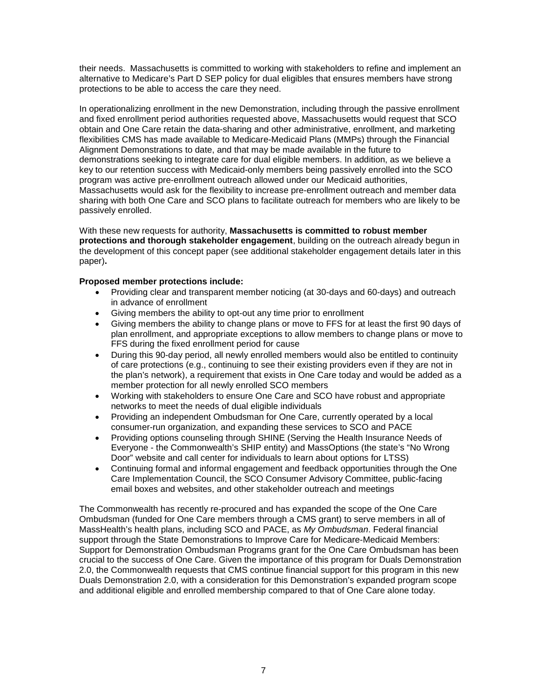their needs. Massachusetts is committed to working with stakeholders to refine and implement an alternative to Medicare's Part D SEP policy for dual eligibles that ensures members have strong protections to be able to access the care they need.

In operationalizing enrollment in the new Demonstration, including through the passive enrollment and fixed enrollment period authorities requested above, Massachusetts would request that SCO obtain and One Care retain the data-sharing and other administrative, enrollment, and marketing flexibilities CMS has made available to Medicare-Medicaid Plans (MMPs) through the Financial Alignment Demonstrations to date, and that may be made available in the future to demonstrations seeking to integrate care for dual eligible members. In addition, as we believe a key to our retention success with Medicaid-only members being passively enrolled into the SCO program was active pre-enrollment outreach allowed under our Medicaid authorities, Massachusetts would ask for the flexibility to increase pre-enrollment outreach and member data sharing with both One Care and SCO plans to facilitate outreach for members who are likely to be passively enrolled.

With these new requests for authority, **Massachusetts is committed to robust member protections and thorough stakeholder engagement**, building on the outreach already begun in the development of this concept paper (see additional stakeholder engagement details later in this paper)**.** 

#### **Proposed member protections include:**

- Providing clear and transparent member noticing (at 30-days and 60-days) and outreach in advance of enrollment
- Giving members the ability to opt-out any time prior to enrollment
- Giving members the ability to change plans or move to FFS for at least the first 90 days of plan enrollment, and appropriate exceptions to allow members to change plans or move to FFS during the fixed enrollment period for cause
- During this 90-day period, all newly enrolled members would also be entitled to continuity of care protections (e.g., continuing to see their existing providers even if they are not in the plan's network), a requirement that exists in One Care today and would be added as a member protection for all newly enrolled SCO members
- Working with stakeholders to ensure One Care and SCO have robust and appropriate networks to meet the needs of dual eligible individuals
- Providing an independent Ombudsman for One Care, currently operated by a local consumer-run organization, and expanding these services to SCO and PACE
- Providing options counseling through SHINE (Serving the Health Insurance Needs of Everyone - the Commonwealth's SHIP entity) and MassOptions (the state's "No Wrong Door" website and call center for individuals to learn about options for LTSS)
- Continuing formal and informal engagement and feedback opportunities through the One Care Implementation Council, the SCO Consumer Advisory Committee, public-facing email boxes and websites, and other stakeholder outreach and meetings

The Commonwealth has recently re-procured and has expanded the scope of the One Care Ombudsman (funded for One Care members through a CMS grant) to serve members in all of MassHealth's health plans, including SCO and PACE, as *My Ombudsman*. Federal financial support through the State Demonstrations to Improve Care for Medicare-Medicaid Members: Support for Demonstration Ombudsman Programs grant for the One Care Ombudsman has been crucial to the success of One Care. Given the importance of this program for Duals Demonstration 2.0, the Commonwealth requests that CMS continue financial support for this program in this new Duals Demonstration 2.0, with a consideration for this Demonstration's expanded program scope and additional eligible and enrolled membership compared to that of One Care alone today.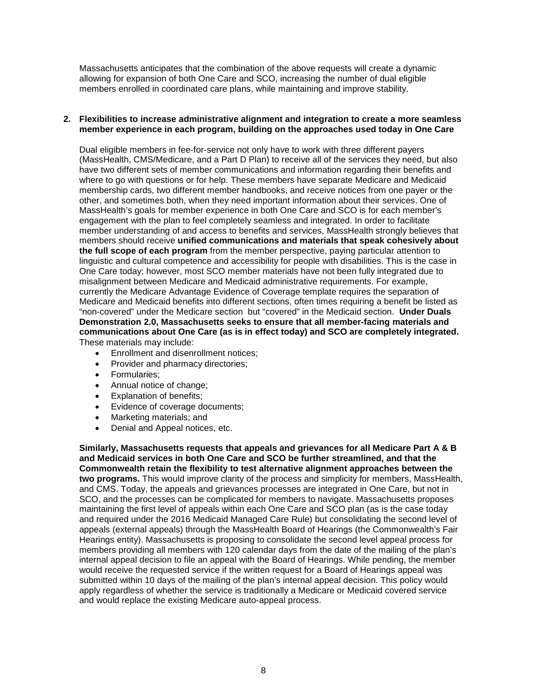Massachusetts anticipates that the combination of the above requests will create a dynamic allowing for expansion of both One Care and SCO, increasing the number of dual eligible members enrolled in coordinated care plans, while maintaining and improve stability.

#### **2. Flexibilities to increase administrative alignment and integration to create a more seamless member experience in each program, building on the approaches used today in One Care**

Dual eligible members in fee-for-service not only have to work with three different payers (MassHealth, CMS/Medicare, and a Part D Plan) to receive all of the services they need, but also have two different sets of member communications and information regarding their benefits and where to go with questions or for help. These members have separate Medicare and Medicaid membership cards, two different member handbooks, and receive notices from one payer or the other, and sometimes both, when they need important information about their services. One of MassHealth's goals for member experience in both One Care and SCO is for each member's engagement with the plan to feel completely seamless and integrated. In order to facilitate member understanding of and access to benefits and services, MassHealth strongly believes that members should receive **unified communications and materials that speak cohesively about the full scope of each program** from the member perspective, paying particular attention to linguistic and cultural competence and accessibility for people with disabilities. This is the case in One Care today; however, most SCO member materials have not been fully integrated due to misalignment between Medicare and Medicaid administrative requirements. For example, currently the Medicare Advantage Evidence of Coverage template requires the separation of Medicare and Medicaid benefits into different sections, often times requiring a benefit be listed as "non-covered" under the Medicare section but "covered" in the Medicaid section. **Under Duals Demonstration 2.0, Massachusetts seeks to ensure that all member-facing materials and communications about One Care (as is in effect today) and SCO are completely integrated.** These materials may include:

- Enrollment and disenrollment notices;
- Provider and pharmacy directories;
- Formularies;
- Annual notice of change;
- Explanation of benefits;
- Evidence of coverage documents;
- Marketing materials; and
- Denial and Appeal notices, etc.

**Similarly, Massachusetts requests that appeals and grievances for all Medicare Part A & B and Medicaid services in both One Care and SCO be further streamlined, and that the Commonwealth retain the flexibility to test alternative alignment approaches between the two programs.** This would improve clarity of the process and simplicity for members, MassHealth, and CMS. Today, the appeals and grievances processes are integrated in One Care, but not in SCO, and the processes can be complicated for members to navigate. Massachusetts proposes maintaining the first level of appeals within each One Care and SCO plan (as is the case today and required under the 2016 Medicaid Managed Care Rule) but consolidating the second level of appeals (external appeals) through the MassHealth Board of Hearings (the Commonwealth's Fair Hearings entity). Massachusetts is proposing to consolidate the second level appeal process for members providing all members with 120 calendar days from the date of the mailing of the plan's internal appeal decision to file an appeal with the Board of Hearings. While pending, the member would receive the requested service if the written request for a Board of Hearings appeal was submitted within 10 days of the mailing of the plan's internal appeal decision. This policy would apply regardless of whether the service is traditionally a Medicare or Medicaid covered service and would replace the existing Medicare auto-appeal process.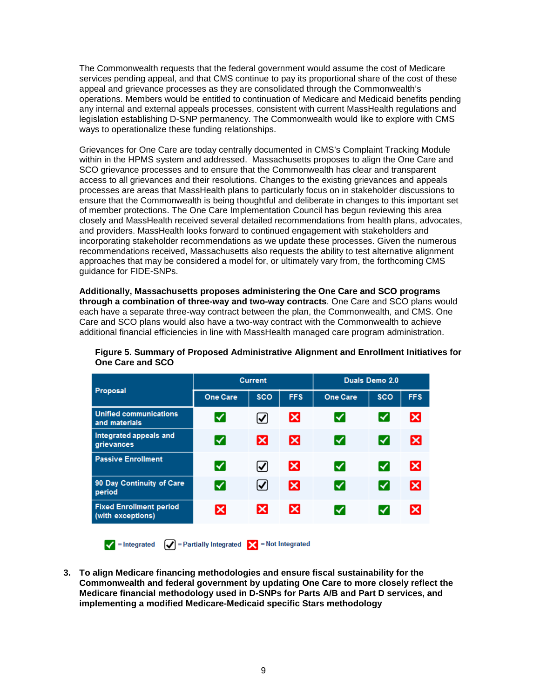The Commonwealth requests that the federal government would assume the cost of Medicare services pending appeal, and that CMS continue to pay its proportional share of the cost of these appeal and grievance processes as they are consolidated through the Commonwealth's operations. Members would be entitled to continuation of Medicare and Medicaid benefits pending any internal and external appeals processes, consistent with current MassHealth regulations and legislation establishing D-SNP permanency. The Commonwealth would like to explore with CMS ways to operationalize these funding relationships.

Grievances for One Care are today centrally documented in CMS's Complaint Tracking Module within in the HPMS system and addressed. Massachusetts proposes to align the One Care and SCO grievance processes and to ensure that the Commonwealth has clear and transparent access to all grievances and their resolutions. Changes to the existing grievances and appeals processes are areas that MassHealth plans to particularly focus on in stakeholder discussions to ensure that the Commonwealth is being thoughtful and deliberate in changes to this important set of member protections. The One Care Implementation Council has begun reviewing this area closely and MassHealth received several detailed recommendations from health plans, advocates, and providers. MassHealth looks forward to continued engagement with stakeholders and incorporating stakeholder recommendations as we update these processes. Given the numerous recommendations received, Massachusetts also requests the ability to test alternative alignment approaches that may be considered a model for, or ultimately vary from, the forthcoming CMS guidance for FIDE-SNPs.

**Additionally, Massachusetts proposes administering the One Care and SCO programs through a combination of three-way and two-way contracts**. One Care and SCO plans would each have a separate three-way contract between the plan, the Commonwealth, and CMS. One Care and SCO plans would also have a two-way contract with the Commonwealth to achieve additional financial efficiencies in line with MassHealth managed care program administration.

|                                                     | <b>Current</b>  |                      |            | Duals Demo 2.0  |            |                           |
|-----------------------------------------------------|-----------------|----------------------|------------|-----------------|------------|---------------------------|
| Proposal                                            | <b>One Care</b> | <b>SCO</b>           | <b>FFS</b> | <b>One Care</b> | <b>SCO</b> | <b>FFS</b>                |
| <b>Unified communications</b><br>and materials      | ∨               | $\bm{\triangledown}$ | ×          | է               | է          | $\boldsymbol{\mathsf{x}}$ |
| Integrated appeals and<br>grievances                | ∨               | ×                    | lх         | ∨               | ∨          | $\vert \times \vert$      |
| <b>Passive Enrollment</b>                           | ∨               | ☑                    | ×          | ∨               | ∨          | $\vert \mathsf{x} \vert$  |
| 90 Day Continuity of Care<br>period                 | ∨               | $\bm{\triangledown}$ | ×          | ⋁               | է          | ⊠                         |
| <b>Fixed Enrollment period</b><br>(with exceptions) | ×               | ×                    | Iх         | ∨               | ✓          | $\bm{\times}$             |
|                                                     |                 |                      |            |                 |            |                           |

**Figure 5. Summary of Proposed Administrative Alignment and Enrollment Initiatives for One Care and SCO**

**3. To align Medicare financing methodologies and ensure fiscal sustainability for the Commonwealth and federal government by updating One Care to more closely reflect the Medicare financial methodology used in D-SNPs for Parts A/B and Part D services, and implementing a modified Medicare-Medicaid specific Stars methodology**

 $\blacktriangleright$  = Integrated  $\blacktriangleright$  = Partially Integrated  $\blacktriangleright$  = Not Integrated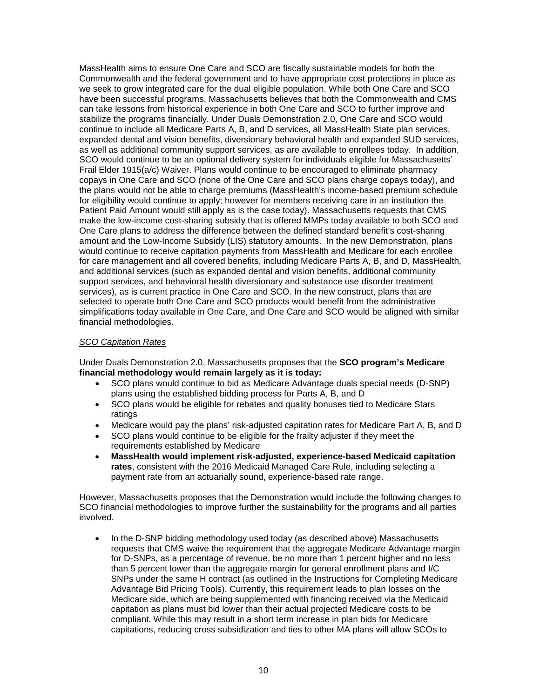MassHealth aims to ensure One Care and SCO are fiscally sustainable models for both the Commonwealth and the federal government and to have appropriate cost protections in place as we seek to grow integrated care for the dual eligible population. While both One Care and SCO have been successful programs, Massachusetts believes that both the Commonwealth and CMS can take lessons from historical experience in both One Care and SCO to further improve and stabilize the programs financially. Under Duals Demonstration 2.0, One Care and SCO would continue to include all Medicare Parts A, B, and D services, all MassHealth State plan services, expanded dental and vision benefits, diversionary behavioral health and expanded SUD services, as well as additional community support services, as are available to enrollees today. In addition, SCO would continue to be an optional delivery system for individuals eligible for Massachusetts' Frail Elder 1915(a/c) Waiver. Plans would continue to be encouraged to eliminate pharmacy copays in One Care and SCO (none of the One Care and SCO plans charge copays today), and the plans would not be able to charge premiums (MassHealth's income-based premium schedule for eligibility would continue to apply; however for members receiving care in an institution the Patient Paid Amount would still apply as is the case today). Massachusetts requests that CMS make the low-income cost-sharing subsidy that is offered MMPs today available to both SCO and One Care plans to address the difference between the defined standard benefit's cost-sharing amount and the Low-Income Subsidy (LIS) statutory amounts. In the new Demonstration, plans would continue to receive capitation payments from MassHealth and Medicare for each enrollee for care management and all covered benefits, including Medicare Parts A, B, and D, MassHealth, and additional services (such as expanded dental and vision benefits, additional community support services, and behavioral health diversionary and substance use disorder treatment services), as is current practice in One Care and SCO. In the new construct, plans that are selected to operate both One Care and SCO products would benefit from the administrative simplifications today available in One Care, and One Care and SCO would be aligned with similar financial methodologies.

#### *SCO Capitation Rates*

Under Duals Demonstration 2.0, Massachusetts proposes that the **SCO program's Medicare financial methodology would remain largely as it is today:** 

- SCO plans would continue to bid as Medicare Advantage duals special needs (D-SNP) plans using the established bidding process for Parts A, B, and D
- SCO plans would be eligible for rebates and quality bonuses tied to Medicare Stars ratings
- Medicare would pay the plans' risk-adjusted capitation rates for Medicare Part A, B, and D
- SCO plans would continue to be eligible for the frailty adjuster if they meet the requirements established by Medicare
- **MassHealth would implement risk-adjusted, experience-based Medicaid capitation rates**, consistent with the 2016 Medicaid Managed Care Rule, including selecting a payment rate from an actuarially sound, experience-based rate range.

However, Massachusetts proposes that the Demonstration would include the following changes to SCO financial methodologies to improve further the sustainability for the programs and all parties involved.

• In the D-SNP bidding methodology used today (as described above) Massachusetts requests that CMS waive the requirement that the aggregate Medicare Advantage margin for D-SNPs, as a percentage of revenue, be no more than 1 percent higher and no less than 5 percent lower than the aggregate margin for general enrollment plans and I/C SNPs under the same H contract (as outlined in the Instructions for Completing Medicare Advantage Bid Pricing Tools). Currently, this requirement leads to plan losses on the Medicare side, which are being supplemented with financing received via the Medicaid capitation as plans must bid lower than their actual projected Medicare costs to be compliant. While this may result in a short term increase in plan bids for Medicare capitations, reducing cross subsidization and ties to other MA plans will allow SCOs to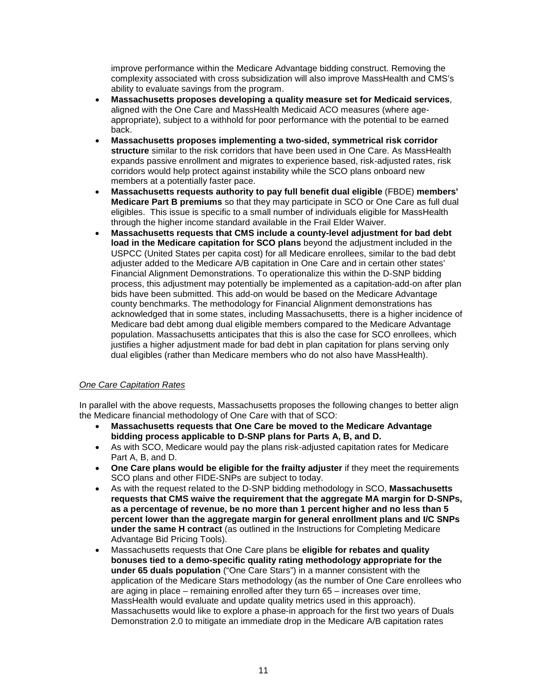improve performance within the Medicare Advantage bidding construct. Removing the complexity associated with cross subsidization will also improve MassHealth and CMS's ability to evaluate savings from the program.

- **Massachusetts proposes developing a quality measure set for Medicaid services**, aligned with the One Care and MassHealth Medicaid ACO measures (where ageappropriate), subject to a withhold for poor performance with the potential to be earned back.
- **Massachusetts proposes implementing a two-sided, symmetrical risk corridor structure** similar to the risk corridors that have been used in One Care. As MassHealth expands passive enrollment and migrates to experience based, risk-adjusted rates, risk corridors would help protect against instability while the SCO plans onboard new members at a potentially faster pace.
- **Massachusetts requests authority to pay full benefit dual eligible** (FBDE) **members' Medicare Part B premiums** so that they may participate in SCO or One Care as full dual eligibles. This issue is specific to a small number of individuals eligible for MassHealth through the higher income standard available in the Frail Elder Waiver.
- **Massachusetts requests that CMS include a county-level adjustment for bad debt load in the Medicare capitation for SCO plans** beyond the adjustment included in the USPCC (United States per capita cost) for all Medicare enrollees, similar to the bad debt adjuster added to the Medicare A/B capitation in One Care and in certain other states' Financial Alignment Demonstrations. To operationalize this within the D-SNP bidding process, this adjustment may potentially be implemented as a capitation-add-on after plan bids have been submitted. This add-on would be based on the Medicare Advantage county benchmarks. The methodology for Financial Alignment demonstrations has acknowledged that in some states, including Massachusetts, there is a higher incidence of Medicare bad debt among dual eligible members compared to the Medicare Advantage population. Massachusetts anticipates that this is also the case for SCO enrollees, which justifies a higher adjustment made for bad debt in plan capitation for plans serving only dual eligibles (rather than Medicare members who do not also have MassHealth).

#### *One Care Capitation Rates*

In parallel with the above requests, Massachusetts proposes the following changes to better align the Medicare financial methodology of One Care with that of SCO:

- **Massachusetts requests that One Care be moved to the Medicare Advantage bidding process applicable to D-SNP plans for Parts A, B, and D.**
- As with SCO, Medicare would pay the plans risk-adjusted capitation rates for Medicare Part A, B, and D.
- **One Care plans would be eligible for the frailty adjuster** if they meet the requirements SCO plans and other FIDE-SNPs are subject to today.
- As with the request related to the D-SNP bidding methodology in SCO, **Massachusetts requests that CMS waive the requirement that the aggregate MA margin for D-SNPs, as a percentage of revenue, be no more than 1 percent higher and no less than 5 percent lower than the aggregate margin for general enrollment plans and I/C SNPs under the same H contract** (as outlined in the Instructions for Completing Medicare Advantage Bid Pricing Tools).
- Massachusetts requests that One Care plans be **eligible for rebates and quality bonuses tied to a demo-specific quality rating methodology appropriate for the under 65 duals population** ("One Care Stars") in a manner consistent with the application of the Medicare Stars methodology (as the number of One Care enrollees who are aging in place – remaining enrolled after they turn 65 – increases over time, MassHealth would evaluate and update quality metrics used in this approach). Massachusetts would like to explore a phase-in approach for the first two years of Duals Demonstration 2.0 to mitigate an immediate drop in the Medicare A/B capitation rates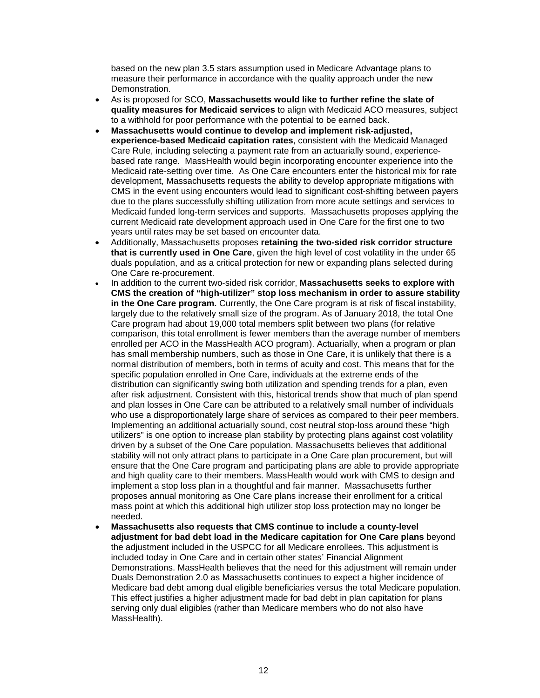based on the new plan 3.5 stars assumption used in Medicare Advantage plans to measure their performance in accordance with the quality approach under the new Demonstration.

- As is proposed for SCO, **Massachusetts would like to further refine the slate of quality measures for Medicaid services** to align with Medicaid ACO measures, subject to a withhold for poor performance with the potential to be earned back.
- **Massachusetts would continue to develop and implement risk-adjusted, experience-based Medicaid capitation rates**, consistent with the Medicaid Managed Care Rule, including selecting a payment rate from an actuarially sound, experiencebased rate range. MassHealth would begin incorporating encounter experience into the Medicaid rate-setting over time. As One Care encounters enter the historical mix for rate development, Massachusetts requests the ability to develop appropriate mitigations with CMS in the event using encounters would lead to significant cost-shifting between payers due to the plans successfully shifting utilization from more acute settings and services to Medicaid funded long-term services and supports. Massachusetts proposes applying the current Medicaid rate development approach used in One Care for the first one to two years until rates may be set based on encounter data.
- Additionally, Massachusetts proposes **retaining the two-sided risk corridor structure that is currently used in One Care**, given the high level of cost volatility in the under 65 duals population, and as a critical protection for new or expanding plans selected during One Care re-procurement.
- In addition to the current two-sided risk corridor, **Massachusetts seeks to explore with CMS the creation of "high-utilizer" stop loss mechanism in order to assure stability in the One Care program.** Currently, the One Care program is at risk of fiscal instability, largely due to the relatively small size of the program. As of January 2018, the total One Care program had about 19,000 total members split between two plans (for relative comparison, this total enrollment is fewer members than the average number of members enrolled per ACO in the MassHealth ACO program). Actuarially, when a program or plan has small membership numbers, such as those in One Care, it is unlikely that there is a normal distribution of members, both in terms of acuity and cost. This means that for the specific population enrolled in One Care, individuals at the extreme ends of the distribution can significantly swing both utilization and spending trends for a plan, even after risk adjustment. Consistent with this, historical trends show that much of plan spend and plan losses in One Care can be attributed to a relatively small number of individuals who use a disproportionately large share of services as compared to their peer members. Implementing an additional actuarially sound, cost neutral stop-loss around these "high utilizers" is one option to increase plan stability by protecting plans against cost volatility driven by a subset of the One Care population. Massachusetts believes that additional stability will not only attract plans to participate in a One Care plan procurement, but will ensure that the One Care program and participating plans are able to provide appropriate and high quality care to their members. MassHealth would work with CMS to design and implement a stop loss plan in a thoughtful and fair manner. Massachusetts further proposes annual monitoring as One Care plans increase their enrollment for a critical mass point at which this additional high utilizer stop loss protection may no longer be needed.
- **Massachusetts also requests that CMS continue to include a county-level adjustment for bad debt load in the Medicare capitation for One Care plans** beyond the adjustment included in the USPCC for all Medicare enrollees. This adjustment is included today in One Care and in certain other states' Financial Alignment Demonstrations. MassHealth believes that the need for this adjustment will remain under Duals Demonstration 2.0 as Massachusetts continues to expect a higher incidence of Medicare bad debt among dual eligible beneficiaries versus the total Medicare population. This effect justifies a higher adjustment made for bad debt in plan capitation for plans serving only dual eligibles (rather than Medicare members who do not also have MassHealth).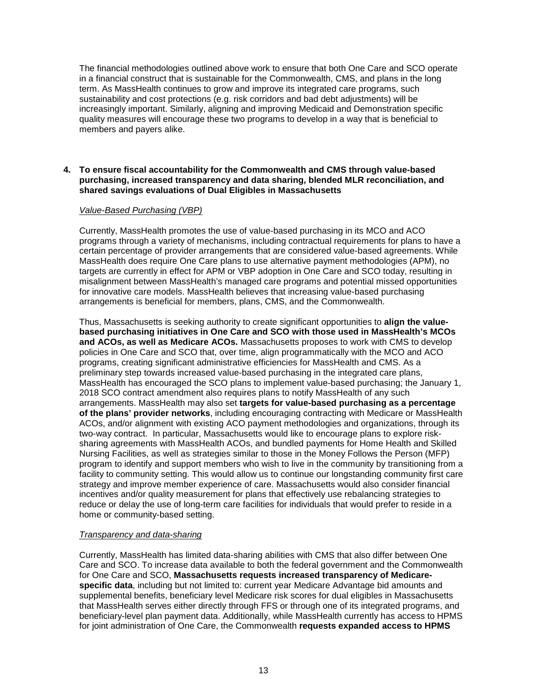The financial methodologies outlined above work to ensure that both One Care and SCO operate in a financial construct that is sustainable for the Commonwealth, CMS, and plans in the long term. As MassHealth continues to grow and improve its integrated care programs, such sustainability and cost protections (e.g. risk corridors and bad debt adjustments) will be increasingly important. Similarly, aligning and improving Medicaid and Demonstration specific quality measures will encourage these two programs to develop in a way that is beneficial to members and payers alike.

#### **4. To ensure fiscal accountability for the Commonwealth and CMS through value-based purchasing, increased transparency and data sharing, blended MLR reconciliation, and shared savings evaluations of Dual Eligibles in Massachusetts**

#### *Value-Based Purchasing (VBP)*

Currently, MassHealth promotes the use of value-based purchasing in its MCO and ACO programs through a variety of mechanisms, including contractual requirements for plans to have a certain percentage of provider arrangements that are considered value-based agreements. While MassHealth does require One Care plans to use alternative payment methodologies (APM), no targets are currently in effect for APM or VBP adoption in One Care and SCO today, resulting in misalignment between MassHealth's managed care programs and potential missed opportunities for innovative care models. MassHealth believes that increasing value-based purchasing arrangements is beneficial for members, plans, CMS, and the Commonwealth.

Thus, Massachusetts is seeking authority to create significant opportunities to **align the valuebased purchasing initiatives in One Care and SCO with those used in MassHealth's MCOs and ACOs, as well as Medicare ACOs.** Massachusetts proposes to work with CMS to develop policies in One Care and SCO that, over time, align programmatically with the MCO and ACO programs, creating significant administrative efficiencies for MassHealth and CMS. As a preliminary step towards increased value-based purchasing in the integrated care plans, MassHealth has encouraged the SCO plans to implement value-based purchasing; the January 1, 2018 SCO contract amendment also requires plans to notify MassHealth of any such arrangements. MassHealth may also set **targets for value-based purchasing as a percentage of the plans' provider networks**, including encouraging contracting with Medicare or MassHealth ACOs, and/or alignment with existing ACO payment methodologies and organizations, through its two-way contract. In particular, Massachusetts would like to encourage plans to explore risksharing agreements with MassHealth ACOs, and bundled payments for Home Health and Skilled Nursing Facilities, as well as strategies similar to those in the Money Follows the Person (MFP) program to identify and support members who wish to live in the community by transitioning from a facility to community setting. This would allow us to continue our longstanding community first care strategy and improve member experience of care. Massachusetts would also consider financial incentives and/or quality measurement for plans that effectively use rebalancing strategies to reduce or delay the use of long-term care facilities for individuals that would prefer to reside in a home or community-based setting.

#### *Transparency and data-sharing*

Currently, MassHealth has limited data-sharing abilities with CMS that also differ between One Care and SCO. To increase data available to both the federal government and the Commonwealth for One Care and SCO, **Massachusetts requests increased transparency of Medicarespecific data**, including but not limited to: current year Medicare Advantage bid amounts and supplemental benefits, beneficiary level Medicare risk scores for dual eligibles in Massachusetts that MassHealth serves either directly through FFS or through one of its integrated programs, and beneficiary-level plan payment data. Additionally, while MassHealth currently has access to HPMS for joint administration of One Care, the Commonwealth **requests expanded access to HPMS**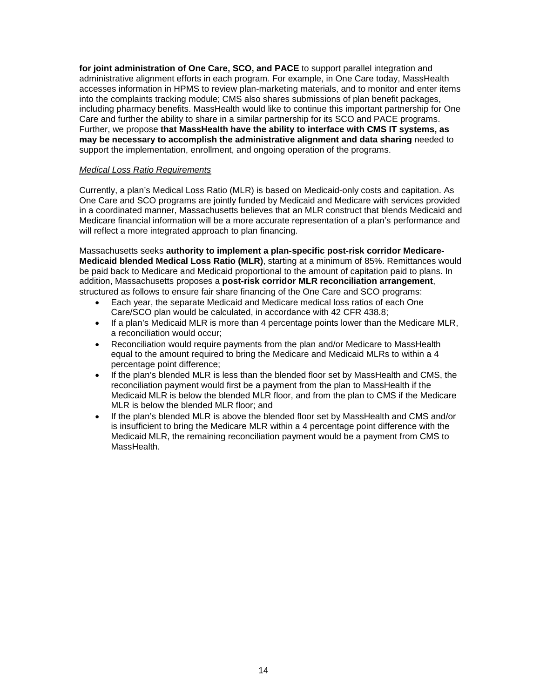**for joint administration of One Care, SCO, and PACE** to support parallel integration and administrative alignment efforts in each program. For example, in One Care today, MassHealth accesses information in HPMS to review plan-marketing materials, and to monitor and enter items into the complaints tracking module; CMS also shares submissions of plan benefit packages, including pharmacy benefits. MassHealth would like to continue this important partnership for One Care and further the ability to share in a similar partnership for its SCO and PACE programs. Further, we propose **that MassHealth have the ability to interface with CMS IT systems, as may be necessary to accomplish the administrative alignment and data sharing** needed to support the implementation, enrollment, and ongoing operation of the programs.

#### *Medical Loss Ratio Requirements*

Currently, a plan's Medical Loss Ratio (MLR) is based on Medicaid-only costs and capitation. As One Care and SCO programs are jointly funded by Medicaid and Medicare with services provided in a coordinated manner, Massachusetts believes that an MLR construct that blends Medicaid and Medicare financial information will be a more accurate representation of a plan's performance and will reflect a more integrated approach to plan financing.

Massachusetts seeks **authority to implement a plan-specific post-risk corridor Medicare-Medicaid blended Medical Loss Ratio (MLR)**, starting at a minimum of 85%. Remittances would be paid back to Medicare and Medicaid proportional to the amount of capitation paid to plans. In addition, Massachusetts proposes a **post-risk corridor MLR reconciliation arrangement**, structured as follows to ensure fair share financing of the One Care and SCO programs:

- Each year, the separate Medicaid and Medicare medical loss ratios of each One Care/SCO plan would be calculated, in accordance with 42 CFR 438.8;
- If a plan's Medicaid MLR is more than 4 percentage points lower than the Medicare MLR, a reconciliation would occur;
- Reconciliation would require payments from the plan and/or Medicare to MassHealth equal to the amount required to bring the Medicare and Medicaid MLRs to within a 4 percentage point difference;
- If the plan's blended MLR is less than the blended floor set by MassHealth and CMS, the reconciliation payment would first be a payment from the plan to MassHealth if the Medicaid MLR is below the blended MLR floor, and from the plan to CMS if the Medicare MLR is below the blended MLR floor; and
- If the plan's blended MLR is above the blended floor set by MassHealth and CMS and/or is insufficient to bring the Medicare MLR within a 4 percentage point difference with the Medicaid MLR, the remaining reconciliation payment would be a payment from CMS to MassHealth.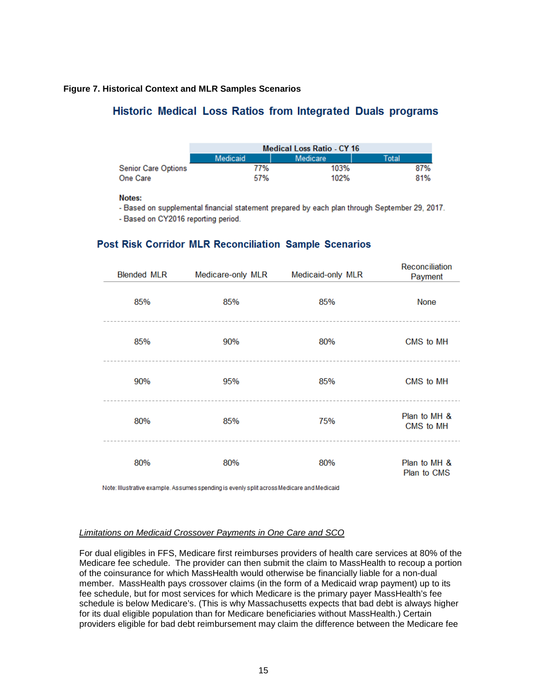#### **Figure 7. Historical Context and MLR Samples Scenarios**

### Historic Medical Loss Ratios from Integrated Duals programs

|                            | <b>Medical Loss Ratio - CY 16</b> |          |       |  |  |
|----------------------------|-----------------------------------|----------|-------|--|--|
|                            | <b>Medicaid</b>                   | Medicare | Total |  |  |
| <b>Senior Care Options</b> | 77%                               | 103%     | 87%   |  |  |
| <b>One Care</b>            | 57%                               | 102%     | 81%   |  |  |

#### Notes:

- Based on supplemental financial statement prepared by each plan through September 29, 2017.

- Based on CY2016 reporting period.

### Post Risk Corridor MLR Reconciliation Sample Scenarios

| <b>Blended MLR</b> | Medicare-only MLR | Medicaid-only MLR | Reconciliation<br>Payment   |
|--------------------|-------------------|-------------------|-----------------------------|
| 85%                | 85%               | 85%               | <b>None</b>                 |
| 85%                | 90%               | 80%               | CMS to MH                   |
| 90%                | 95%               | 85%               | CMS to MH                   |
| 80%                | 85%               | 75%               | Plan to MH &<br>CMS to MH   |
| 80%                | 80%               | 80%               | Plan to MH &<br>Plan to CMS |

Note: Illustrative example. Assumes spending is evenly split across Medicare and Medicaid

#### *Limitations on Medicaid Crossover Payments in One Care and SCO*

For dual eligibles in FFS, Medicare first reimburses providers of health care services at 80% of the Medicare fee schedule. The provider can then submit the claim to MassHealth to recoup a portion of the coinsurance for which MassHealth would otherwise be financially liable for a non-dual member. MassHealth pays crossover claims (in the form of a Medicaid wrap payment) up to its fee schedule, but for most services for which Medicare is the primary payer MassHealth's fee schedule is below Medicare's. (This is why Massachusetts expects that bad debt is always higher for its dual eligible population than for Medicare beneficiaries without MassHealth.) Certain providers eligible for bad debt reimbursement may claim the difference between the Medicare fee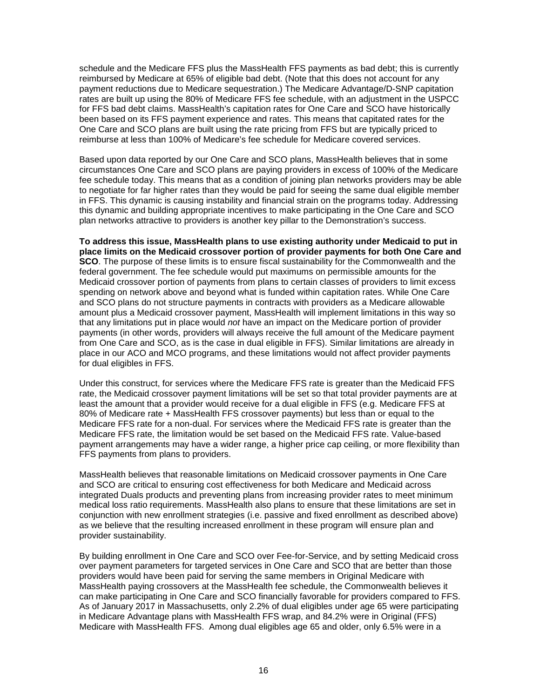schedule and the Medicare FFS plus the MassHealth FFS payments as bad debt; this is currently reimbursed by Medicare at 65% of eligible bad debt. (Note that this does not account for any payment reductions due to Medicare sequestration.) The Medicare Advantage/D-SNP capitation rates are built up using the 80% of Medicare FFS fee schedule, with an adjustment in the USPCC for FFS bad debt claims. MassHealth's capitation rates for One Care and SCO have historically been based on its FFS payment experience and rates. This means that capitated rates for the One Care and SCO plans are built using the rate pricing from FFS but are typically priced to reimburse at less than 100% of Medicare's fee schedule for Medicare covered services.

Based upon data reported by our One Care and SCO plans, MassHealth believes that in some circumstances One Care and SCO plans are paying providers in excess of 100% of the Medicare fee schedule today. This means that as a condition of joining plan networks providers may be able to negotiate for far higher rates than they would be paid for seeing the same dual eligible member in FFS. This dynamic is causing instability and financial strain on the programs today. Addressing this dynamic and building appropriate incentives to make participating in the One Care and SCO plan networks attractive to providers is another key pillar to the Demonstration's success.

**To address this issue, MassHealth plans to use existing authority under Medicaid to put in place limits on the Medicaid crossover portion of provider payments for both One Care and SCO**. The purpose of these limits is to ensure fiscal sustainability for the Commonwealth and the federal government. The fee schedule would put maximums on permissible amounts for the Medicaid crossover portion of payments from plans to certain classes of providers to limit excess spending on network above and beyond what is funded within capitation rates. While One Care and SCO plans do not structure payments in contracts with providers as a Medicare allowable amount plus a Medicaid crossover payment, MassHealth will implement limitations in this way so that any limitations put in place would *not* have an impact on the Medicare portion of provider payments (in other words, providers will always receive the full amount of the Medicare payment from One Care and SCO, as is the case in dual eligible in FFS). Similar limitations are already in place in our ACO and MCO programs, and these limitations would not affect provider payments for dual eligibles in FFS.

Under this construct, for services where the Medicare FFS rate is greater than the Medicaid FFS rate, the Medicaid crossover payment limitations will be set so that total provider payments are at least the amount that a provider would receive for a dual eligible in FFS (e.g. Medicare FFS at 80% of Medicare rate + MassHealth FFS crossover payments) but less than or equal to the Medicare FFS rate for a non-dual. For services where the Medicaid FFS rate is greater than the Medicare FFS rate, the limitation would be set based on the Medicaid FFS rate. Value-based payment arrangements may have a wider range, a higher price cap ceiling, or more flexibility than FFS payments from plans to providers.

MassHealth believes that reasonable limitations on Medicaid crossover payments in One Care and SCO are critical to ensuring cost effectiveness for both Medicare and Medicaid across integrated Duals products and preventing plans from increasing provider rates to meet minimum medical loss ratio requirements. MassHealth also plans to ensure that these limitations are set in conjunction with new enrollment strategies (i.e. passive and fixed enrollment as described above) as we believe that the resulting increased enrollment in these program will ensure plan and provider sustainability.

By building enrollment in One Care and SCO over Fee-for-Service, and by setting Medicaid cross over payment parameters for targeted services in One Care and SCO that are better than those providers would have been paid for serving the same members in Original Medicare with MassHealth paying crossovers at the MassHealth fee schedule, the Commonwealth believes it can make participating in One Care and SCO financially favorable for providers compared to FFS. As of January 2017 in Massachusetts, only 2.2% of dual eligibles under age 65 were participating in Medicare Advantage plans with MassHealth FFS wrap, and 84.2% were in Original (FFS) Medicare with MassHealth FFS. Among dual eligibles age 65 and older, only 6.5% were in a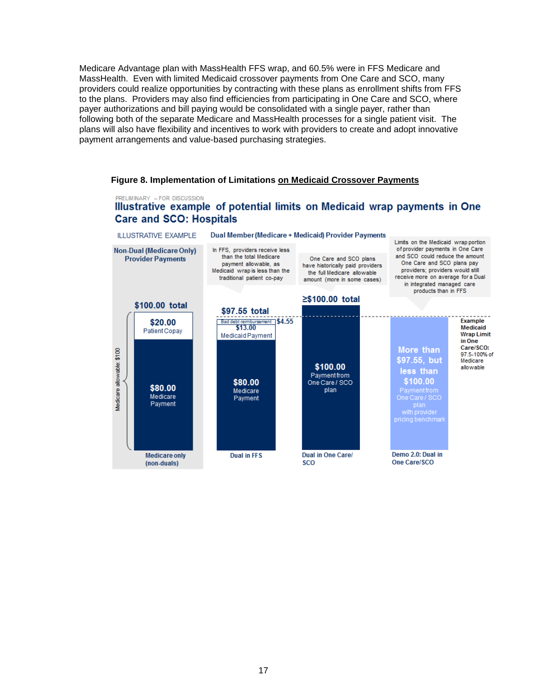Medicare Advantage plan with MassHealth FFS wrap, and 60.5% were in FFS Medicare and MassHealth. Even with limited Medicaid crossover payments from One Care and SCO, many providers could realize opportunities by contracting with these plans as enrollment shifts from FFS to the plans. Providers may also find efficiencies from participating in One Care and SCO, where payer authorizations and bill paying would be consolidated with a single payer, rather than following both of the separate Medicare and MassHealth processes for a single patient visit. The plans will also have flexibility and incentives to work with providers to create and adopt innovative payment arrangements and value-based purchasing strategies.

#### **Figure 8. Implementation of Limitations on Medicaid Crossover Payments**

### PRELIMINARY - FOR DISCUSSION Illustrative example of potential limits on Medicaid wrap payments in One **Care and SCO: Hospitals**

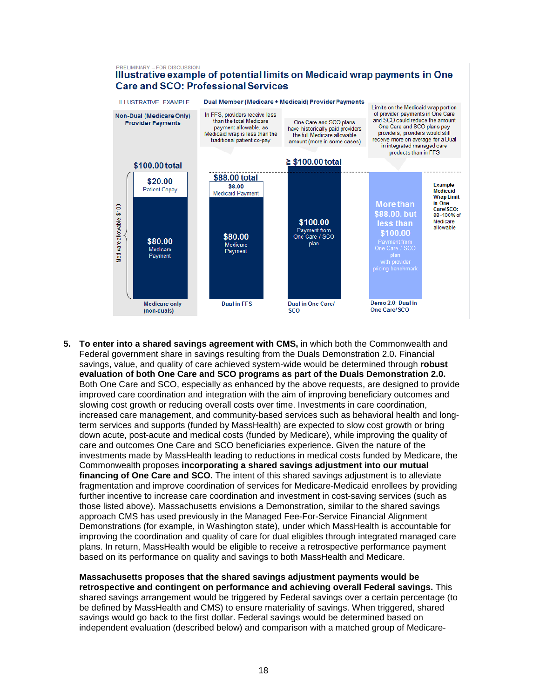#### PRELIMINARY - FOR DISCUSSION Illustrative example of potential limits on Medicaid wrap payments in One **Care and SCO: Professional Services ILLUSTRATIVE EXAMPLE** Dual Member (Medicare + Medicaid) Provider Payments Limits on the Medicaid wrap portion of provider payments in One Care Non-Dual (Medicare Only) In FFS, providers receive less and SCO could reduce the amount than the total Medicare One Care and SCO plans **Provider Payments** payment allowable, as One Care and SCO plans pay have historically paid providers providers; providers would still Medicaid wrap is less than the the full Medicare allowable traditional patient co-pay receive more on average for a Dual amount (more in some cases) in integrated managed care products than in FFS  $\geq$  \$100.00 total \$100.00 total \$88.00 total \$20.00 \$8.00 **Example Patient Copav Medicaid** Medicaid Payment **Wrap Limit**

\$100.00

Payment from

One Care / SCO

**plan** 

**Dual in One Care/** 

**SCO** 

in One

Care/SCO:

88-100% of

Medicare

allowable

**More than** 

\$88.00, but

less than

\$100.00

Payment πom<br>One Care 7 SCO

Demo 2.0: Dual in

**One Care/SCO** 

**5. To enter into a shared savings agreement with CMS,** in which both the Commonwealth and Federal government share in savings resulting from the Duals Demonstration 2.0**.** Financial savings, value, and quality of care achieved system-wide would be determined through **robust evaluation of both One Care and SCO programs as part of the Duals Demonstration 2.0.**  Both One Care and SCO, especially as enhanced by the above requests, are designed to provide improved care coordination and integration with the aim of improving beneficiary outcomes and slowing cost growth or reducing overall costs over time. Investments in care coordination, increased care management, and community-based services such as behavioral health and longterm services and supports (funded by MassHealth) are expected to slow cost growth or bring down acute, post-acute and medical costs (funded by Medicare), while improving the quality of care and outcomes One Care and SCO beneficiaries experience. Given the nature of the investments made by MassHealth leading to reductions in medical costs funded by Medicare, the Commonwealth proposes **incorporating a shared savings adjustment into our mutual financing of One Care and SCO.** The intent of this shared savings adjustment is to alleviate fragmentation and improve coordination of services for Medicare-Medicaid enrollees by providing further incentive to increase care coordination and investment in cost-saving services (such as those listed above). Massachusetts envisions a Demonstration, similar to the shared savings approach CMS has used previously in the Managed Fee-For-Service Financial Alignment Demonstrations (for example, in Washington state), under which MassHealth is accountable for improving the coordination and quality of care for dual eligibles through integrated managed care plans. In return, MassHealth would be eligible to receive a retrospective performance payment based on its performance on quality and savings to both MassHealth and Medicare.

\$80.00

Medicare

Payment

**Dual in FFS** 

Medicare allowable: \$100

\$80.00

Medicare

Payment

**Medicare only** 

(non-duals)

**Massachusetts proposes that the shared savings adjustment payments would be retrospective and contingent on performance and achieving overall Federal savings.** This shared savings arrangement would be triggered by Federal savings over a certain percentage (to be defined by MassHealth and CMS) to ensure materiality of savings. When triggered, shared savings would go back to the first dollar. Federal savings would be determined based on independent evaluation (described below) and comparison with a matched group of Medicare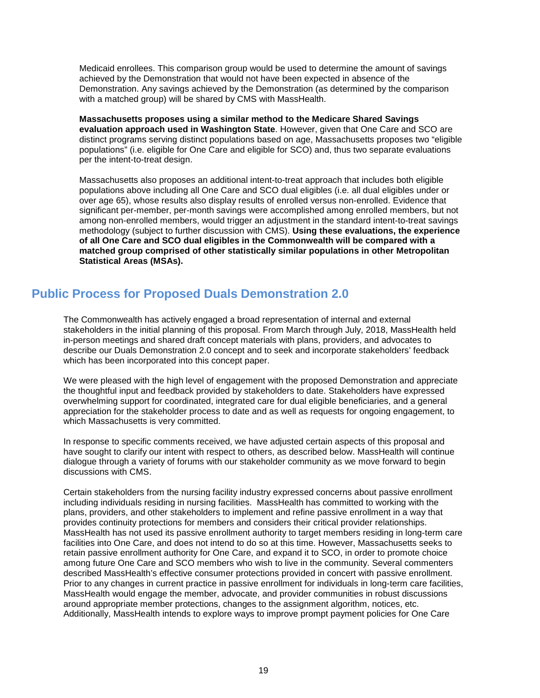Medicaid enrollees. This comparison group would be used to determine the amount of savings achieved by the Demonstration that would not have been expected in absence of the Demonstration. Any savings achieved by the Demonstration (as determined by the comparison with a matched group) will be shared by CMS with MassHealth.

**Massachusetts proposes using a similar method to the Medicare Shared Savings evaluation approach used in Washington State**. However, given that One Care and SCO are distinct programs serving distinct populations based on age, Massachusetts proposes two "eligible populations" (i.e. eligible for One Care and eligible for SCO) and, thus two separate evaluations per the intent-to-treat design.

Massachusetts also proposes an additional intent-to-treat approach that includes both eligible populations above including all One Care and SCO dual eligibles (i.e. all dual eligibles under or over age 65), whose results also display results of enrolled versus non-enrolled. Evidence that significant per-member, per-month savings were accomplished among enrolled members, but not among non-enrolled members, would trigger an adjustment in the standard intent-to-treat savings methodology (subject to further discussion with CMS). **Using these evaluations, the experience of all One Care and SCO dual eligibles in the Commonwealth will be compared with a matched group comprised of other statistically similar populations in other Metropolitan Statistical Areas (MSAs).**

# **Public Process for Proposed Duals Demonstration 2.0**

The Commonwealth has actively engaged a broad representation of internal and external stakeholders in the initial planning of this proposal. From March through July, 2018, MassHealth held in-person meetings and shared draft concept materials with plans, providers, and advocates to describe our Duals Demonstration 2.0 concept and to seek and incorporate stakeholders' feedback which has been incorporated into this concept paper.

We were pleased with the high level of engagement with the proposed Demonstration and appreciate the thoughtful input and feedback provided by stakeholders to date. Stakeholders have expressed overwhelming support for coordinated, integrated care for dual eligible beneficiaries, and a general appreciation for the stakeholder process to date and as well as requests for ongoing engagement, to which Massachusetts is very committed.

In response to specific comments received, we have adjusted certain aspects of this proposal and have sought to clarify our intent with respect to others, as described below. MassHealth will continue dialogue through a variety of forums with our stakeholder community as we move forward to begin discussions with CMS.

Certain stakeholders from the nursing facility industry expressed concerns about passive enrollment including individuals residing in nursing facilities. MassHealth has committed to working with the plans, providers, and other stakeholders to implement and refine passive enrollment in a way that provides continuity protections for members and considers their critical provider relationships. MassHealth has not used its passive enrollment authority to target members residing in long-term care facilities into One Care, and does not intend to do so at this time. However, Massachusetts seeks to retain passive enrollment authority for One Care, and expand it to SCO, in order to promote choice among future One Care and SCO members who wish to live in the community. Several commenters described MassHealth's effective consumer protections provided in concert with passive enrollment. Prior to any changes in current practice in passive enrollment for individuals in long-term care facilities, MassHealth would engage the member, advocate, and provider communities in robust discussions around appropriate member protections, changes to the assignment algorithm, notices, etc. Additionally, MassHealth intends to explore ways to improve prompt payment policies for One Care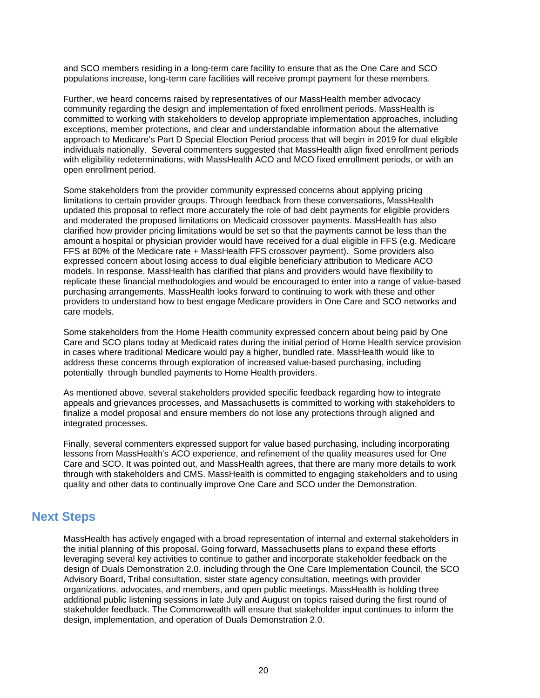and SCO members residing in a long-term care facility to ensure that as the One Care and SCO populations increase, long-term care facilities will receive prompt payment for these members.

Further, we heard concerns raised by representatives of our MassHealth member advocacy community regarding the design and implementation of fixed enrollment periods. MassHealth is committed to working with stakeholders to develop appropriate implementation approaches, including exceptions, member protections, and clear and understandable information about the alternative approach to Medicare's Part D Special Election Period process that will begin in 2019 for dual eligible individuals nationally. Several commenters suggested that MassHealth align fixed enrollment periods with eligibility redeterminations, with MassHealth ACO and MCO fixed enrollment periods, or with an open enrollment period.

Some stakeholders from the provider community expressed concerns about applying pricing limitations to certain provider groups. Through feedback from these conversations, MassHealth updated this proposal to reflect more accurately the role of bad debt payments for eligible providers and moderated the proposed limitations on Medicaid crossover payments. MassHealth has also clarified how provider pricing limitations would be set so that the payments cannot be less than the amount a hospital or physician provider would have received for a dual eligible in FFS (e.g. Medicare FFS at 80% of the Medicare rate + MassHealth FFS crossover payment). Some providers also expressed concern about losing access to dual eligible beneficiary attribution to Medicare ACO models. In response, MassHealth has clarified that plans and providers would have flexibility to replicate these financial methodologies and would be encouraged to enter into a range of value-based purchasing arrangements. MassHealth looks forward to continuing to work with these and other providers to understand how to best engage Medicare providers in One Care and SCO networks and care models.

Some stakeholders from the Home Health community expressed concern about being paid by One Care and SCO plans today at Medicaid rates during the initial period of Home Health service provision in cases where traditional Medicare would pay a higher, bundled rate. MassHealth would like to address these concerns through exploration of increased value-based purchasing, including potentially through bundled payments to Home Health providers.

As mentioned above, several stakeholders provided specific feedback regarding how to integrate appeals and grievances processes, and Massachusetts is committed to working with stakeholders to finalize a model proposal and ensure members do not lose any protections through aligned and integrated processes.

Finally, several commenters expressed support for value based purchasing, including incorporating lessons from MassHealth's ACO experience, and refinement of the quality measures used for One Care and SCO. It was pointed out, and MassHealth agrees, that there are many more details to work through with stakeholders and CMS. MassHealth is committed to engaging stakeholders and to using quality and other data to continually improve One Care and SCO under the Demonstration.

## **Next Steps**

MassHealth has actively engaged with a broad representation of internal and external stakeholders in the initial planning of this proposal. Going forward, Massachusetts plans to expand these efforts leveraging several key activities to continue to gather and incorporate stakeholder feedback on the design of Duals Demonstration 2.0, including through the One Care Implementation Council, the SCO Advisory Board, Tribal consultation, sister state agency consultation, meetings with provider organizations, advocates, and members, and open public meetings. MassHealth is holding three additional public listening sessions in late July and August on topics raised during the first round of stakeholder feedback. The Commonwealth will ensure that stakeholder input continues to inform the design, implementation, and operation of Duals Demonstration 2.0.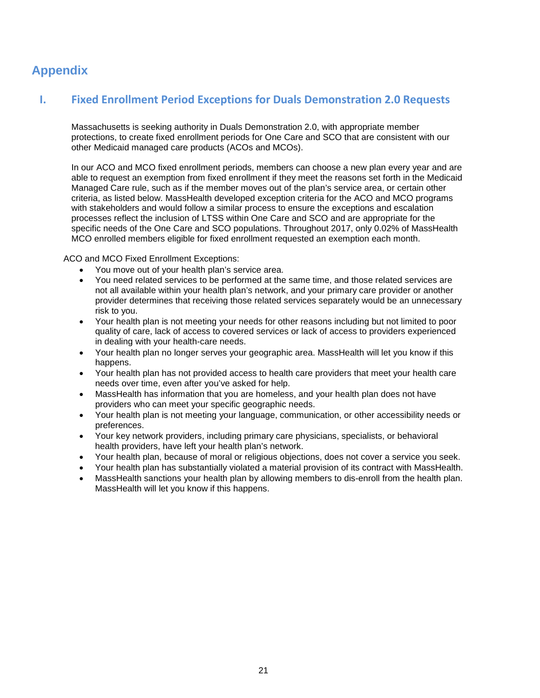# **Appendix**

## **I. Fixed Enrollment Period Exceptions for Duals Demonstration 2.0 Requests**

Massachusetts is seeking authority in Duals Demonstration 2.0, with appropriate member protections, to create fixed enrollment periods for One Care and SCO that are consistent with our other Medicaid managed care products (ACOs and MCOs).

In our ACO and MCO fixed enrollment periods, members can choose a new plan every year and are able to request an exemption from fixed enrollment if they meet the reasons set forth in the Medicaid Managed Care rule, such as if the member moves out of the plan's service area, or certain other criteria, as listed below. MassHealth developed exception criteria for the ACO and MCO programs with stakeholders and would follow a similar process to ensure the exceptions and escalation processes reflect the inclusion of LTSS within One Care and SCO and are appropriate for the specific needs of the One Care and SCO populations. Throughout 2017, only 0.02% of MassHealth MCO enrolled members eligible for fixed enrollment requested an exemption each month.

ACO and MCO Fixed Enrollment Exceptions:

- You move out of your health plan's service area.
- You need related services to be performed at the same time, and those related services are not all available within your health plan's network, and your primary care provider or another provider determines that receiving those related services separately would be an unnecessary risk to you.
- Your health plan is not meeting your needs for other reasons including but not limited to poor quality of care, lack of access to covered services or lack of access to providers experienced in dealing with your health-care needs.
- Your health plan no longer serves your geographic area. MassHealth will let you know if this happens.
- Your health plan has not provided access to health care providers that meet your health care needs over time, even after you've asked for help.
- MassHealth has information that you are homeless, and your health plan does not have providers who can meet your specific geographic needs.
- Your health plan is not meeting your language, communication, or other accessibility needs or preferences.
- Your key network providers, including primary care physicians, specialists, or behavioral health providers, have left your health plan's network.
- Your health plan, because of moral or religious objections, does not cover a service you seek.
- Your health plan has substantially violated a material provision of its contract with MassHealth.
- MassHealth sanctions your health plan by allowing members to dis-enroll from the health plan. MassHealth will let you know if this happens.